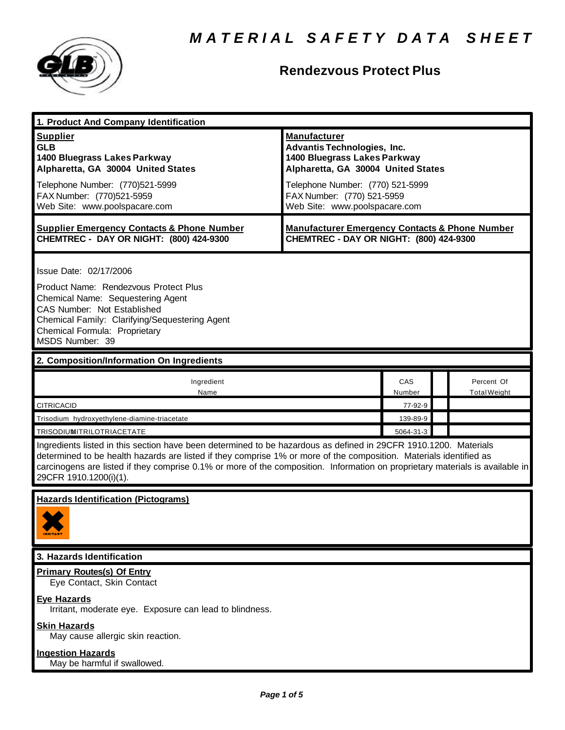

### **Rendezvous Protect Plus**

| 1. Product And Company Identification                                                                                                                                                                                                                                                                                                                                                             |                                                                                                                                                                                                                                    |               |  |                                   |  |  |
|---------------------------------------------------------------------------------------------------------------------------------------------------------------------------------------------------------------------------------------------------------------------------------------------------------------------------------------------------------------------------------------------------|------------------------------------------------------------------------------------------------------------------------------------------------------------------------------------------------------------------------------------|---------------|--|-----------------------------------|--|--|
| <b>Supplier</b><br><b>GLB</b><br>1400 Bluegrass Lakes Parkway<br>Alpharetta, GA 30004 United States<br>Telephone Number: (770)521-5999<br>FAX Number: (770)521-5959<br>Web Site: www.poolspacare.com                                                                                                                                                                                              | <b>Manufacturer</b><br><b>Advantis Technologies, Inc.</b><br>1400 Bluegrass Lakes Parkway<br>Alpharetta, GA 30004 United States<br>Telephone Number: (770) 521-5999<br>FAX Number: (770) 521-5959<br>Web Site: www.poolspacare.com |               |  |                                   |  |  |
| <b>Supplier Emergency Contacts &amp; Phone Number</b><br>CHEMTREC - DAY OR NIGHT: (800) 424-9300                                                                                                                                                                                                                                                                                                  | <b>Manufacturer Emergency Contacts &amp; Phone Number</b><br>CHEMTREC - DAY OR NIGHT: (800) 424-9300                                                                                                                               |               |  |                                   |  |  |
| Issue Date: 02/17/2006<br>Product Name: Rendezvous Protect Plus<br>Chemical Name: Sequestering Agent<br><b>CAS Number: Not Established</b><br>Chemical Family: Clarifying/Sequestering Agent<br>Chemical Formula: Proprietary<br>MSDS Number: 39                                                                                                                                                  |                                                                                                                                                                                                                                    |               |  |                                   |  |  |
| 2. Composition/Information On Ingredients                                                                                                                                                                                                                                                                                                                                                         |                                                                                                                                                                                                                                    |               |  |                                   |  |  |
| Ingredient<br>Name                                                                                                                                                                                                                                                                                                                                                                                |                                                                                                                                                                                                                                    | CAS<br>Number |  | Percent Of<br><b>Total Weight</b> |  |  |
| <b>CITRICACID</b>                                                                                                                                                                                                                                                                                                                                                                                 |                                                                                                                                                                                                                                    | 77-92-9       |  |                                   |  |  |
| Trisodium hydroxyethylene-diamine-triacetate                                                                                                                                                                                                                                                                                                                                                      |                                                                                                                                                                                                                                    | 139-89-9      |  |                                   |  |  |
| <b>TRISODIUMITRILOTRIACETATE</b>                                                                                                                                                                                                                                                                                                                                                                  |                                                                                                                                                                                                                                    | 5064-31-3     |  |                                   |  |  |
| Ingredients listed in this section have been determined to be hazardous as defined in 29CFR 1910.1200. Materials<br>determined to be health hazards are listed if they comprise 1% or more of the composition. Materials identified as<br>carcinogens are listed if they comprise 0.1% or more of the composition. Information on proprietary materials is available in<br>29CFR 1910.1200(i)(1). |                                                                                                                                                                                                                                    |               |  |                                   |  |  |
| <b>Hazards Identification (Pictograms)</b><br><b>IHHITANT</b>                                                                                                                                                                                                                                                                                                                                     |                                                                                                                                                                                                                                    |               |  |                                   |  |  |
| 3. Hazards Identification                                                                                                                                                                                                                                                                                                                                                                         |                                                                                                                                                                                                                                    |               |  |                                   |  |  |
| <b>Primary Routes(s) Of Entry</b><br>Eye Contact, Skin Contact                                                                                                                                                                                                                                                                                                                                    |                                                                                                                                                                                                                                    |               |  |                                   |  |  |
| <b>Eye Hazards</b><br>Irritant, moderate eye. Exposure can lead to blindness.                                                                                                                                                                                                                                                                                                                     |                                                                                                                                                                                                                                    |               |  |                                   |  |  |
| <b>Skin Hazards</b><br>May cause allergic skin reaction.                                                                                                                                                                                                                                                                                                                                          |                                                                                                                                                                                                                                    |               |  |                                   |  |  |
| <b>Ingestion Hazards</b><br>May be harmful if swallowed.                                                                                                                                                                                                                                                                                                                                          |                                                                                                                                                                                                                                    |               |  |                                   |  |  |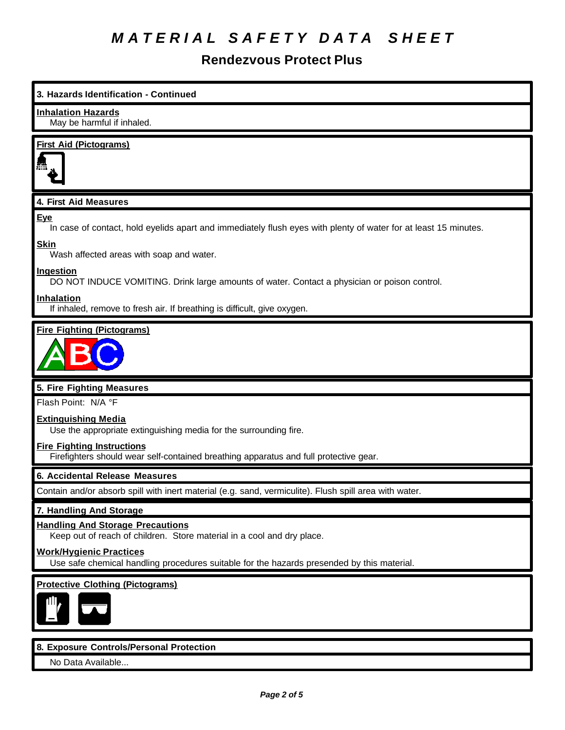#### **Rendezvous Protect Plus**

# **3. Hazards Identification - Continued Inhalation Hazards** May be harmful if inhaled. **First Aid (Pictograms) 4. First Aid Measures Eye** In case of contact, hold eyelids apart and immediately flush eyes with plenty of water for at least 15 minutes. **Skin** Wash affected areas with soap and water. **Ingestion** DO NOT INDUCE VOMITING. Drink large amounts of water. Contact a physician or poison control. **Inhalation** If inhaled, remove to fresh air. If breathing is difficult, give oxygen. **Fire Fighting (Pictograms) 5. Fire Fighting Measures** Flash Point: N/A °F **Extinguishing Media** Use the appropriate extinguishing media for the surrounding fire. **Fire Fighting Instructions** Firefighters should wear self-contained breathing apparatus and full protective gear. **6. Accidental Release Measures** Contain and/or absorb spill with inert material (e.g. sand, vermiculite). Flush spill area with water. **7. Handling And Storage Handling And Storage Precautions** Keep out of reach of children. Store material in a cool and dry place. **Work/Hygienic Practices** Use safe chemical handling procedures suitable for the hazards presended by this material. **Protective Clothing (Pictograms)**

#### **8. Exposure Controls/Personal Protection**

No Data Available...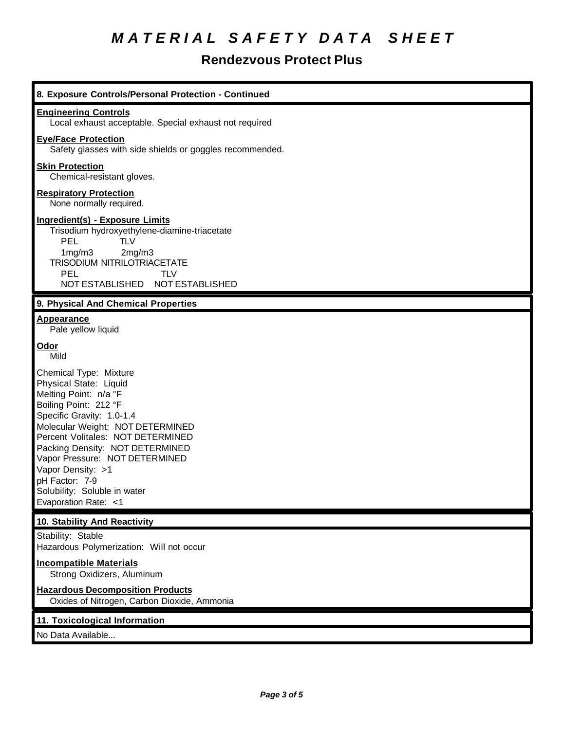### **Rendezvous Protect Plus**

| 8. Exposure Controls/Personal Protection - Continued                                                                                                                                                                                                                                                                                                                         |
|------------------------------------------------------------------------------------------------------------------------------------------------------------------------------------------------------------------------------------------------------------------------------------------------------------------------------------------------------------------------------|
| <b>Engineering Controls</b><br>Local exhaust acceptable. Special exhaust not required                                                                                                                                                                                                                                                                                        |
| <b>Eye/Face Protection</b><br>Safety glasses with side shields or goggles recommended.                                                                                                                                                                                                                                                                                       |
| <b>Skin Protection</b><br>Chemical-resistant gloves.                                                                                                                                                                                                                                                                                                                         |
| <b>Respiratory Protection</b><br>None normally required.                                                                                                                                                                                                                                                                                                                     |
| <b>Ingredient(s) - Exposure Limits</b><br>Trisodium hydroxyethylene-diamine-triacetate<br>PEL<br><b>TLV</b><br>2mg/m3<br>1mg/m3<br>TRISODIUM NITRILOTRIACETATE<br><b>PEL</b><br><b>TLV</b><br>NOT ESTABLISHED NOT ESTABLISHED                                                                                                                                                |
| 9. Physical And Chemical Properties                                                                                                                                                                                                                                                                                                                                          |
| <b>Appearance</b><br>Pale yellow liquid                                                                                                                                                                                                                                                                                                                                      |
| <u>Odor</u><br>Mild                                                                                                                                                                                                                                                                                                                                                          |
| Chemical Type: Mixture<br>Physical State: Liquid<br>Melting Point: n/a °F<br>Boiling Point: 212 °F<br>Specific Gravity: 1.0-1.4<br>Molecular Weight: NOT DETERMINED<br>Percent Volitales: NOT DETERMINED<br>Packing Density: NOT DETERMINED<br>Vapor Pressure: NOT DETERMINED<br>Vapor Density: >1<br>pH Factor: 7-9<br>Solubility: Soluble in water<br>Evaporation Rate: <1 |
| 10. Stability And Reactivity                                                                                                                                                                                                                                                                                                                                                 |
| Stability: Stable<br>Hazardous Polymerization: Will not occur                                                                                                                                                                                                                                                                                                                |
| <b>Incompatible Materials</b><br>Strong Oxidizers, Aluminum                                                                                                                                                                                                                                                                                                                  |
| <b>Hazardous Decomposition Products</b><br>Oxides of Nitrogen, Carbon Dioxide, Ammonia                                                                                                                                                                                                                                                                                       |
| 11. Toxicological Information<br>No Data Available                                                                                                                                                                                                                                                                                                                           |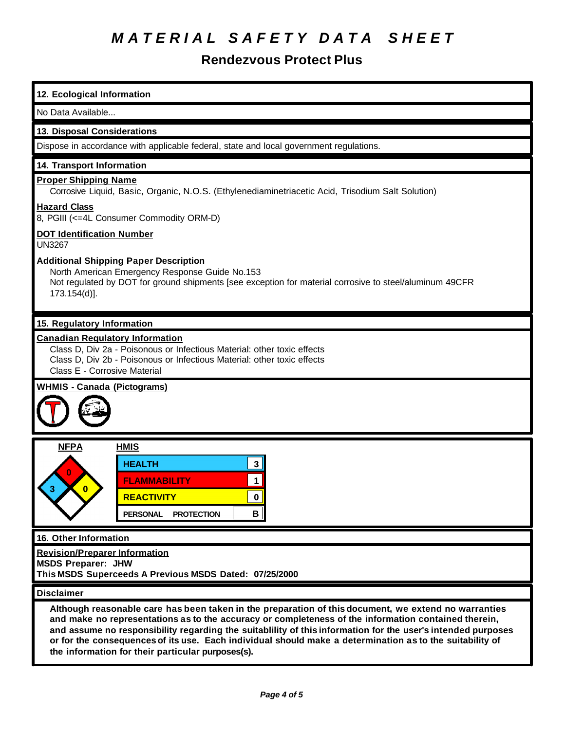#### **Rendezvous Protect Plus**

| 12. Ecological Information                                                                                                                                                                                                                                                                                                                                                                                                                                                                    |  |  |  |  |
|-----------------------------------------------------------------------------------------------------------------------------------------------------------------------------------------------------------------------------------------------------------------------------------------------------------------------------------------------------------------------------------------------------------------------------------------------------------------------------------------------|--|--|--|--|
| No Data Available                                                                                                                                                                                                                                                                                                                                                                                                                                                                             |  |  |  |  |
| 13. Disposal Considerations                                                                                                                                                                                                                                                                                                                                                                                                                                                                   |  |  |  |  |
| Dispose in accordance with applicable federal, state and local government regulations.                                                                                                                                                                                                                                                                                                                                                                                                        |  |  |  |  |
| 14. Transport Information                                                                                                                                                                                                                                                                                                                                                                                                                                                                     |  |  |  |  |
| <b>Proper Shipping Name</b><br>Corrosive Liquid, Basic, Organic, N.O.S. (Ethylenediaminetriacetic Acid, Trisodium Salt Solution)                                                                                                                                                                                                                                                                                                                                                              |  |  |  |  |
| <b>Hazard Class</b><br>8, PGIII (<=4L Consumer Commodity ORM-D)                                                                                                                                                                                                                                                                                                                                                                                                                               |  |  |  |  |
| <b>DOT Identification Number</b><br><b>UN3267</b>                                                                                                                                                                                                                                                                                                                                                                                                                                             |  |  |  |  |
| <b>Additional Shipping Paper Description</b><br>North American Emergency Response Guide No.153<br>Not regulated by DOT for ground shipments [see exception for material corrosive to steel/aluminum 49CFR<br>173.154(d)].                                                                                                                                                                                                                                                                     |  |  |  |  |
| 15. Regulatory Information                                                                                                                                                                                                                                                                                                                                                                                                                                                                    |  |  |  |  |
| <b>Canadian Regulatory Information</b><br>Class D, Div 2a - Poisonous or Infectious Material: other toxic effects<br>Class D, Div 2b - Poisonous or Infectious Material: other toxic effects<br>Class E - Corrosive Material                                                                                                                                                                                                                                                                  |  |  |  |  |
| <b>WHMIS - Canada (Pictograms)</b>                                                                                                                                                                                                                                                                                                                                                                                                                                                            |  |  |  |  |
| <b>NFPA</b><br><b>HMIS</b>                                                                                                                                                                                                                                                                                                                                                                                                                                                                    |  |  |  |  |
| <b>HEALTH</b><br>$\mathbf{3}$<br>1<br><b>FLAMMABILITY</b><br><b>REACTIVITY</b><br>0<br>B<br><b>PERSONAL</b><br><b>PROTECTION</b>                                                                                                                                                                                                                                                                                                                                                              |  |  |  |  |
| 16. Other Information                                                                                                                                                                                                                                                                                                                                                                                                                                                                         |  |  |  |  |
| <b>Revision/Preparer Information</b><br><b>MSDS Preparer: JHW</b><br>This MSDS Superceeds A Previous MSDS Dated: 07/25/2000                                                                                                                                                                                                                                                                                                                                                                   |  |  |  |  |
| <b>Disclaimer</b>                                                                                                                                                                                                                                                                                                                                                                                                                                                                             |  |  |  |  |
| Although reasonable care has been taken in the preparation of this document, we extend no warranties<br>and make no representations as to the accuracy or completeness of the information contained therein,<br>and assume no responsibility regarding the suitablility of this information for the user's intended purposes<br>or for the consequences of its use. Each individual should make a determination as to the suitability of<br>the information for their particular purposes(s). |  |  |  |  |